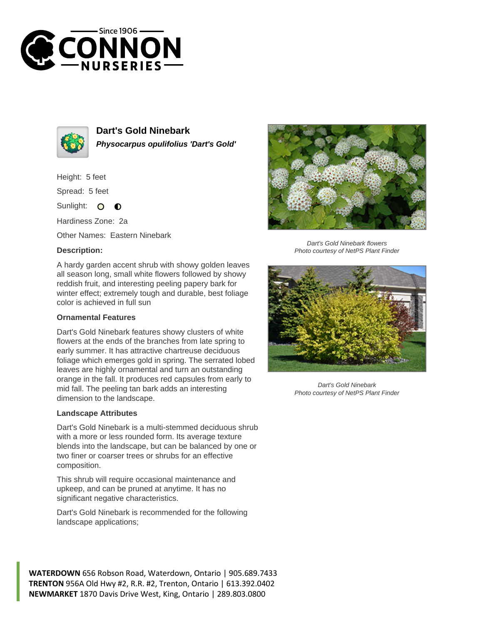



**Dart's Gold Ninebark Physocarpus opulifolius 'Dart's Gold'**

Height: 5 feet

Spread: 5 feet

Sunlight: 0  $\bullet$ 

Hardiness Zone: 2a

Other Names: Eastern Ninebark

## **Description:**

A hardy garden accent shrub with showy golden leaves all season long, small white flowers followed by showy reddish fruit, and interesting peeling papery bark for winter effect; extremely tough and durable, best foliage color is achieved in full sun

## **Ornamental Features**

Dart's Gold Ninebark features showy clusters of white flowers at the ends of the branches from late spring to early summer. It has attractive chartreuse deciduous foliage which emerges gold in spring. The serrated lobed leaves are highly ornamental and turn an outstanding orange in the fall. It produces red capsules from early to mid fall. The peeling tan bark adds an interesting dimension to the landscape.

## **Landscape Attributes**

Dart's Gold Ninebark is a multi-stemmed deciduous shrub with a more or less rounded form. Its average texture blends into the landscape, but can be balanced by one or two finer or coarser trees or shrubs for an effective composition.

This shrub will require occasional maintenance and upkeep, and can be pruned at anytime. It has no significant negative characteristics.

Dart's Gold Ninebark is recommended for the following landscape applications;

**WATERDOWN** 656 Robson Road, Waterdown, Ontario | 905.689.7433 **TRENTON** 956A Old Hwy #2, R.R. #2, Trenton, Ontario | 613.392.0402 **NEWMARKET** 1870 Davis Drive West, King, Ontario | 289.803.0800



Dart's Gold Ninebark flowers Photo courtesy of NetPS Plant Finder



Dart's Gold Ninebark Photo courtesy of NetPS Plant Finder